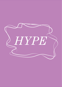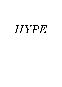# *HYPE*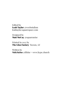Edited by Leah Taylor @weebotulism leahtaylor.squarespace.com

Designed by Matt McCoy @squarenoise

Printed in 2022 by The Gloo Factory Tucson, AZ

Written by Nick Kelso @illslur + www.hype.church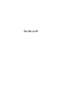For the creW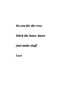### *Do you for the crew*

## *Ditch the inner-hater*

### *Just make stuff*

*Love*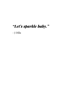## *"Let's sparkle baby."*

- J Dilla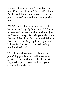*HYPE* is honoring what's possible. It's our gift to ourselves and the world. I hope this lil book helps remind you to stay in *your space* of deserved and accomplished joy.

*HYPE* is what helps us love life in this beautiful and royally f'd up world. Where it takes serious work and intention to just be. How can we go for a simple walk when the world feels like it's crumbling? What is the point of creating anything right now? Is it selfish for me to sit here drinking maté and writing?

What I intend to share in this book is *you doing you* is how you'll make your greatest contributions and be the most supportive person you can be for your community and crew.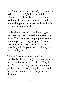My friend John once posted, "If you want to help the world, help your neighbor." That's what this is about too. Doing what we love, allowing our actions to ripple out and hype up our crew, and inevitably change our community.

I talk about crew a lot on these pages because my crew created me in so many ways. Your crew are the people who fuel and support you on your path. I hope reading this makes you think of the amazing folks in your life who help you learn and grow.

This isn't some kind of manifesto (probably obvious but just in case!)—it's a few basic ideas that could help. They help me. Some have for years and some are pretty new, but everything here showed me ways I can lean into my path and dreams.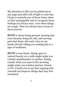My intention is this can be picked up at any page and add a bit of light to your day. I hope it reminds you of those times when we feel unstoppable and to recognize these feelings are always near, even when things are tough. That you always have access to these powers.

*HYPE* is about being present, leaning into your dreams, doing for self, and moving past that dusty old wack voice in our heads already telling you reading this is a sign of weakness.

*HYPE* is non-linear. Being open to natural beauty on a walk might make you a better skateboarder or teacher. Eating exactly what you want in the morning might make you a better partner, friend, or DJ. I invite you to see how tapping into yourself can improve things that may feel unrelated.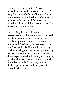*HYPE* isn't one size fits all. Not everything here will be your jam. What's easy for you might be challenging for me and vice versa. Maybe this can be another way we embrace our differences and practice rolling with hella compassion for ourselves and our crew.

I'm writing this as a cisgender, heterosexual, white male born and raised in a Minnesota suburb. I grew up in a stable, upper-middle-class 2-parent household. Resiliency comes easy to me and I know this is directly linked to my shell not being chipped away by the many forms of unrelenting hate and trauma I don't experience thanks to my upbringing, gender identity, sexual orientation, and white lanky body. This is my humble, limited perspective, and I'm proud to share it with you.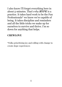I also know I'll forget everything here in about 5-minutes. That's why *HYPE* is a practice. It takes hard work to be the Fun Professionals\* we know we're capable of being. It takes discipline and reminders and all the little tricks we make up for ourselves to survive and thrive. I'm so down for anything that helps.

#### **CREWLOVE**

\*Folks prioritizing joy and rolling with change to create dope experiences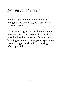# *Do you for the crew*

*HYPE* is getting out of our heads and living beyond our thoughts. Leaving the space to be us.

It's acknowledging the hard work we put in to get here. That no one else could possibly be where we are right now. It's learning from and trusting our experience. *Doing us* again and again—honoring what's possible.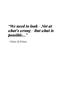# *"We need to look / Not at what's wrong / But what is possible..."*

- Diane di Prima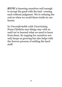*HYPE* is knowing ourselves well enough to accept the good with the bad—owning each without judgment. We're refusing the real us when we avoid these truths in our hearts.

In *Uncomfortable with Uncertainty*, Pema Chödrön says things stay with us until we've learned what we need to learn from them. So repping for ourselves not only keeps us growing but also helps with the forever-process of settling the hard stuff.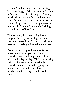My good bud STLB3 practices "getting lost"—letting go of distractions and being fully present in his painting, gardening, music, drawing—anything he loves to do. Here the activity and whatever he creates are less important than the openness he feels while doing it, knowing he's doing something 100% for him.

Things on my list are making beats, rapping, biking, meditating, writing, reading... everything I love could show up here and it feels good to write a few down.

Doing more of my actions of self-love makes me a better partner, friend, coworker, and random person to interact with on the day-to-day. *HYPE* is showing (with action) our partners, friends, coworkers, and crew that repping for ourselves is for their benefit as well. Maybe even inspiring them to do the same.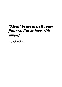# *"Might bring myself some flowers, I'm in love with myself."*

- Quelle Chris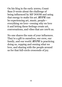On his blog in the early 2000s, Count Bass D wrote about the challenge of being influenced by MF DOOM and using that energy to make his art. *HYPE* can be experiencing art, music, people everything we love—owning why we love it and letting these feelings create art, conversations, and vibes that are 100% us.

No one shares the sum of your influences. They're a gift to ourselves, our crew, our family, and our world. *HYPE* is practicing doing us, repping and owning what we love, and sharing with the people around us for that full-circle crescendo of joy.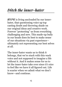# *Ditch the inner-hater*

*HYPE* is living unclouded by our innerhater, that questioning voice up top casting doubt and throwing shade on our original ideas and creative work. Forever "protecting" us from everything challenging and new. This made-up bully in our heads does its best to make sense of our situations via past experience ultimately not representing our best selves at all.

The inner-hater wants us to think it belongs, that we're stuck with this wack voice and not supposed to imagine a life without it. And it makes sense for us to let the inner-hater take over since it's nice to feel like we have it all figured out. Life is scarier when we admit what we don't know—and continue.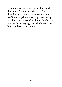Moving past this voice of self-hate and doubt is a forever practice. We face decades of our inner-hater cementing itself in everything we do by showing up confidently and comfortable with who we are. As this energy grows, the inner hater has a lot less to talk about.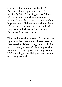Our inner-hater can't possibly hold the truth about right now. It tries but inevitably fails, forgetting we don't have all the answers and things aren't as predictable as they seem. No matter what happens, we still don't know what's ahead. It's proven to us over and over again via surprise rough times and all the cool things we don't see coming.

This wack negative voice can't draw on the right now, because we're all here learning that together. What if we give it no choice but to silently observe? Listening to what we are experiencing and learning from it. We're feeding *it* the dialogue here, not the other way around.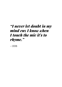# *"I never let doubt in my mind cuz I know when I touch the mic it's to rhyme."*

- ODB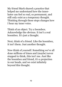My friend Mark shared a practice that helped me understand how the innerhater can feel so real, so permanent, and still only exist as a temporary thought. Thinking through these steps changes how I hear my inner voice.

Think of an object. Try a boombox. Acknowledge the obvious. It isn't a real boombox. It's just a thought.

Next, think of a friend. Like the boombox, it isn't them. Just another thought.

Now think of yourself. Something we've all done millions of times and (maybe) never stopped to think, this isn't me. Just like the boombox and friend, it's a projection in our heads, and we exist infinitely beyond this thought.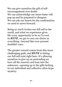We can give ourselves the gift of selfencouragement over doubt. We can acknowledge our inner-hater will pop up and be prepared to disagree. We can ask our hearts for the confirmation we need to move forward.

Being us 100% invites our full self to the world, and what we experience gives life every opportunity to be so f'n cool. In *HYPE*, we get to own our desire as everything—beyond this ever-present doubtful voice.

The greater reward comes from this more challenging path, and *HYPE* is letting our full self exist right here. It's allowing ourselves to give up on pretending we have all the answers and lean into the unknown—opening up to the gifts lurking in our individual and collective ultra-hype mystery.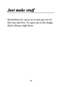Sometimes it's up to us to just get out of the way and live. To open up to the magic that's always right here.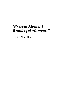## *"Present Moment Wonderful Moment."*

- Thich Nhat Hanh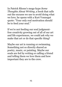In Patrick Rhone's mega-hype *Some Thoughts About Writing*, a book that calls out the excuses we use to avoid doing what we love, he opens with a Kurt Vonnegut quote: "Your only real motivation should be to feed your soul."

If we're not feeding our soul judgmentfree creativity growing out of all of our art and life experiences, we could ask why we make that art or do that specific thing?

Maybe our art is running or swimming. Something not so directly shared as poetry, music, or painting. Maybe our souls are fed by writing or calling a friend and telling them we love them and how important they are to the crew.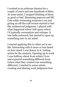I worked at an arthouse theatre for a couple of years and saw hundreds of films. At some point, I stopped thinking of them as good or bad. Slamming popcorn and RC Cola while witnessing someone's art and giving an off-the-cuff review started to feel like undeserved judgment. I played with what happened when I left space where I'd typically overanalyze and critique. It was hella awkward, but started to open up something new in my mind.

I started applying this to other art in my life. Interacting with it more or less based on how much I was drawn to it. Letting action be the analysis. Opening up to work I was halfway about from artists I love and expected something different from (when what they created was something different). I started to sense artists creating and sharing work judgment-free.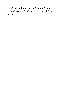Working on being less judgmental of other artists' work helped me stop overthinking my own.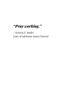## *"Pray working."*

- Octavia E. Butler (care of adrienne maree brown)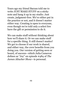Years ago my friend Barzan told me to write JUST MAKE STUFF on a sticky note and hang it up in my studio. Just create, judgment-free. We've either put in the practice or not, and it doesn't matter either way. Creating is open to everyone, even though we're told only a select few have the gift or permission to do it.

We can make stuff without thinking about how we'll share it. Or we can make stuff for a specific thing. It still doesn't matter! We get to choose if our work is shared, and either way, the crew benefits from you doing you. Our version of getting seen or heard, of success—which Julia Cameron defines as "Joy" on episode #484 of *The James Altucher Show*—is personal.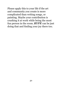Please apply this to your life if the art and community you create is more complicated than writing songs, or painting. Maybe your contribution is crushing it at work while being the most fun person in the room. *HYPE* can be just doing that and finding your joy there too.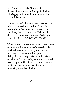My friend Greg is brilliant with illustration, music, and graphic design. The big question for him was what he should focus on.

His search led him to an artist consultant with a studio down the hall from his. Saving him the time and money of her services, she cut right to it. Telling him to do what comes naturally and feels right, she told him to DO WHAT'S EASY.

When we're over-analyzing what we create or how we live at levels of unattainable perfection or undue judgment, we're missing out on so much dope work and living. It's easy to get stuck in this stress of what we're *not doing* when all we need to do is put in the time to create or run or write or cook or whatever feels most like honoring ourselves today.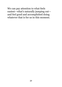We can pay attention to what feels easiest—what's naturally jumping out and feel good and accomplished doing whatever that is for us in this moment.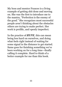My boss and mentor Frances is a living example of getting shit done and moving on. She was the first to introduce me to the mantra, "Perfection is the enemy of the good." She recognizes most successful people aren't thinking about the obstacles others are trying to make perfect. Her work is prolific, and openly imperfect.

In the practice of *HYPE*, this can mean being less hard on ourselves, and doing what feels right instead of waiting for some signal in the distance to get started. Same goes for finishing something we've been working on for a long time—finally calling it complete. Hard to think of a better example for me than this book.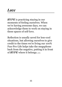*HYPE* is practicing staying in our moments of feeling ourselves. When we're having awesome days, we can acknowledge them to work on staying in these spaces of self-love.

Reflection is usually saved for less-cool situations, but allowing ourselves to give credit to the times we're living our 100% Fun-Pro-Life helps take the megaphone back from the negative, putting it in front of **HYPE** where it belongs. (HPR)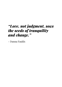# *"Love, not judgment, sows the seeds of tranquility and change."*

- Danna Faulds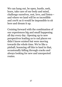We can hang out, be open, hustle, seek, learn, take care of our body and mind, challenge ourselves, rest, love, and listen and where we land will be so incredible and 100% us it would be impossible to sit here and dream it up.

Cruising forward with the combination of our experiences big and small happening all day every day. Opening up to new perspectives leading us to rad places we didn't know existed but were moving towards the whole time. We're like a pinball, bouncing off this to land in that, occasionally falling through cracks and always looking for new and unexpected routes.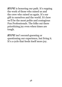*HYPE* is honoring our path. It's repping the work of those who raised us and the crew who raised us again. It's our gift to ourselves and the world. It's how we'll be the most polite and contagious Fun Professionals. The folks out there prioritizing joy even when times are tough.

*HYPE* isn't second-guessing or questioning our experience, but living it. It's a cycle that feeds itself more joy.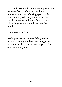To love in *HYPE* is removing expectations for ourselves, each other, and our environment. Just sharing space with crew. Being, existing, and finding the subtle power from inside these spaces. Listening closely and witnessing the magic.

Here love is action.

Seeing someone we love living to their utmost is really the best, and we get to provide this inspiration and support for our crew every day.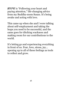*HYPE* is "Following your heart and paying attention," life-changing advice from my Buddha-mom Susan. It's being awake and acting with love.

This came up when she and I were talking about self-employment and taking the leaps you need to be successful, and the same goes for ditching wackness and making room for our contributions to the world.

It's letting go and experiencing everything in front of us. Fear, love, stress, joy... opening up to all of these feelings as tools to reflect and grow.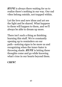*HYPE* is always there waiting for us to realize there's nothing in our way. Our rad vibes belong outside, not trapped within.

Let the love and new ideas and art see the light and be shared. What happens to them will happen to them, and we'll always be able to dream up more.

There isn't such a thing as finishing learning this stuff. We're constantly opening up to reminders on our path—noticing signs to be more us and recognizing when the inner-hater is throwing shade. *HYPE* is letting these thoughts come and go while knowing what's true in our hearts beyond them.

**CREW!**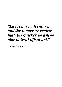# *"Life is pure adventure, and the sooner we realize that, the quicker we will be able to treat life as art."*

- Maya Angelou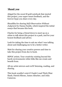## *Thank you*

Abigail for the sweet lil gold notebook that started this project, your super-smart feedback, and the forever-hype you share every day.

Shraddha for sharing *Self-Observation Without Judgment* by Danna Faulds, which inspired the initial essays that became this book.

Charles for being a friend down to meet up on a whim to talk about this project in a park, and for your honest feedback and advice.

Leah for taking the time to ask me what I was talking about and challenging me to be a better writer.

Matt for sharing your creative powers and time to take this project from doc to book.

BIPOC artists. Your creativity existing beyond the harsh environments white folks like me create and benefit from.

All my artist mirrors and creW listening, reading, and sharing.

This book wouldn't exist if I hadn't read Thich Nhat Hanh, Patrick Rhone, James Altucher, and Julia Cameron.